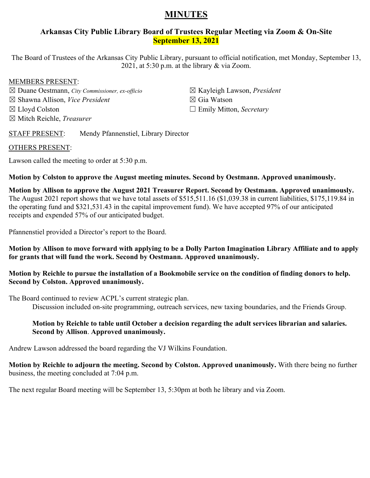# **MINUTES**

# **Arkansas City Public Library Board of Trustees Regular Meeting via Zoom & On-Site September 13, 2021**

The Board of Trustees of the Arkansas City Public Library, pursuant to official notification, met Monday, September 13, 2021, at 5:30 p.m. at the library & via Zoom.

# MEMBERS PRESENT:

☒ Duane Oestmann, *City Commissioner, ex-officio* ☒ Shawna Allison, *Vice President* ☒ Lloyd Colston ☒ Mitch Reichle, *Treasurer*

☒ Kayleigh Lawson, *President* ☒ Gia Watson ☐ Emily Mitton, *Secretary*

STAFF PRESENT: Mendy Pfannenstiel, Library Director

## OTHERS PRESENT:

Lawson called the meeting to order at 5:30 p.m.

**Motion by Colston to approve the August meeting minutes. Second by Oestmann. Approved unanimously.** 

**Motion by Allison to approve the August 2021 Treasurer Report. Second by Oestmann. Approved unanimously.**  The August 2021 report shows that we have total assets of \$515,511.16 (\$1,039.38 in current liabilities, \$175,119.84 in the operating fund and \$321,531.43 in the capital improvement fund). We have accepted 97% of our anticipated receipts and expended 57% of our anticipated budget.

Pfannenstiel provided a Director's report to the Board.

**Motion by Allison to move forward with applying to be a Dolly Parton Imagination Library Affiliate and to apply for grants that will fund the work. Second by Oestmann. Approved unanimously.** 

**Motion by Reichle to pursue the installation of a Bookmobile service on the condition of finding donors to help. Second by Colston. Approved unanimously.** 

The Board continued to review ACPL's current strategic plan.

Discussion included on-site programming, outreach services, new taxing boundaries, and the Friends Group.

## **Motion by Reichle to table until October a decision regarding the adult services librarian and salaries. Second by Allison**. **Approved unanimously.**

Andrew Lawson addressed the board regarding the VJ Wilkins Foundation.

**Motion by Reichle to adjourn the meeting. Second by Colston. Approved unanimously.** With there being no further business, the meeting concluded at 7:04 p.m.

The next regular Board meeting will be September 13, 5:30pm at both he library and via Zoom.